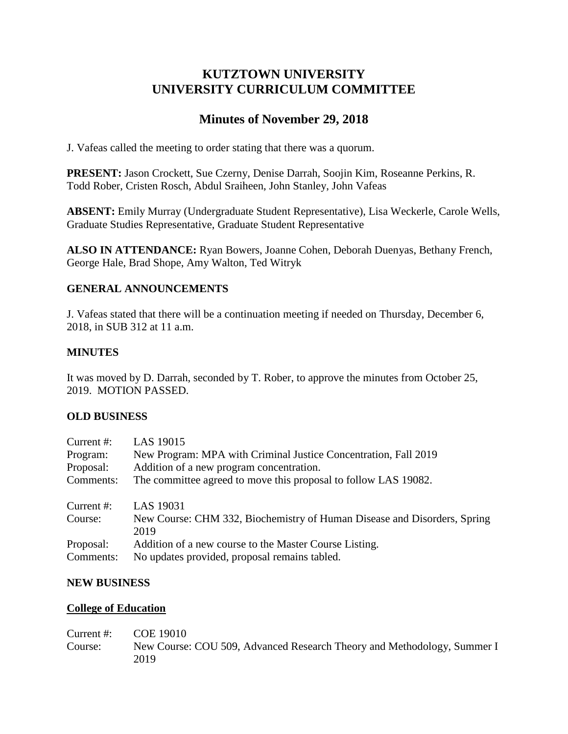# **KUTZTOWN UNIVERSITY UNIVERSITY CURRICULUM COMMITTEE**

# **Minutes of November 29, 2018**

J. Vafeas called the meeting to order stating that there was a quorum.

**PRESENT:** Jason Crockett, Sue Czerny, Denise Darrah, Soojin Kim, Roseanne Perkins, R. Todd Rober, Cristen Rosch, Abdul Sraiheen, John Stanley, John Vafeas

**ABSENT:** Emily Murray (Undergraduate Student Representative), Lisa Weckerle, Carole Wells, Graduate Studies Representative, Graduate Student Representative

**ALSO IN ATTENDANCE:** Ryan Bowers, Joanne Cohen, Deborah Duenyas, Bethany French, George Hale, Brad Shope, Amy Walton, Ted Witryk

## **GENERAL ANNOUNCEMENTS**

J. Vafeas stated that there will be a continuation meeting if needed on Thursday, December 6, 2018, in SUB 312 at 11 a.m.

## **MINUTES**

It was moved by D. Darrah, seconded by T. Rober, to approve the minutes from October 25, 2019. MOTION PASSED.

#### **OLD BUSINESS**

| Current #: | LAS 19015                                                                        |
|------------|----------------------------------------------------------------------------------|
| Program:   | New Program: MPA with Criminal Justice Concentration, Fall 2019                  |
| Proposal:  | Addition of a new program concentration.                                         |
| Comments:  | The committee agreed to move this proposal to follow LAS 19082.                  |
| Current #: | LAS 19031                                                                        |
| Course:    | New Course: CHM 332, Biochemistry of Human Disease and Disorders, Spring<br>2019 |
| Proposal:  | Addition of a new course to the Master Course Listing.                           |
| Comments:  | No updates provided, proposal remains tabled.                                    |

#### **NEW BUSINESS**

#### **College of Education**

Current #: COE 19010 Course: New Course: COU 509, Advanced Research Theory and Methodology, Summer I 2019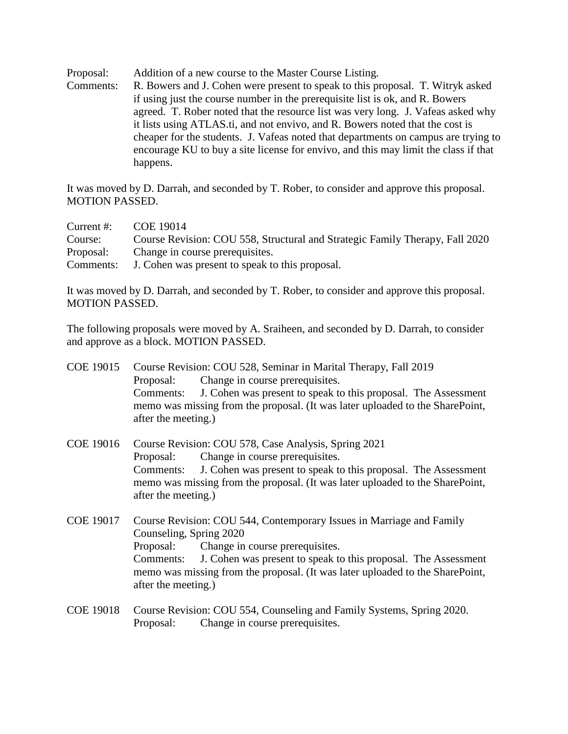Proposal: Addition of a new course to the Master Course Listing.

Comments: R. Bowers and J. Cohen were present to speak to this proposal. T. Witryk asked if using just the course number in the prerequisite list is ok, and R. Bowers agreed. T. Rober noted that the resource list was very long. J. Vafeas asked why it lists using ATLAS.ti, and not envivo, and R. Bowers noted that the cost is cheaper for the students. J. Vafeas noted that departments on campus are trying to encourage KU to buy a site license for envivo, and this may limit the class if that happens.

It was moved by D. Darrah, and seconded by T. Rober, to consider and approve this proposal. MOTION PASSED.

| Current $#$ : | COE 19014                                                                    |
|---------------|------------------------------------------------------------------------------|
| Course:       | Course Revision: COU 558, Structural and Strategic Family Therapy, Fall 2020 |
| Proposal:     | Change in course prerequisites.                                              |
| Comments:     | J. Cohen was present to speak to this proposal.                              |

It was moved by D. Darrah, and seconded by T. Rober, to consider and approve this proposal. MOTION PASSED.

The following proposals were moved by A. Sraiheen, and seconded by D. Darrah, to consider and approve as a block. MOTION PASSED.

- COE 19015 Course Revision: COU 528, Seminar in Marital Therapy, Fall 2019 Proposal: Change in course prerequisites. Comments: J. Cohen was present to speak to this proposal. The Assessment memo was missing from the proposal. (It was later uploaded to the SharePoint, after the meeting.)
- COE 19016 Course Revision: COU 578, Case Analysis, Spring 2021 Proposal: Change in course prerequisites. Comments: J. Cohen was present to speak to this proposal. The Assessment memo was missing from the proposal. (It was later uploaded to the SharePoint, after the meeting.)
- COE 19017 Course Revision: COU 544, Contemporary Issues in Marriage and Family Counseling, Spring 2020 Proposal: Change in course prerequisites. Comments: J. Cohen was present to speak to this proposal. The Assessment memo was missing from the proposal. (It was later uploaded to the SharePoint, after the meeting.)
- COE 19018 Course Revision: COU 554, Counseling and Family Systems, Spring 2020. Proposal: Change in course prerequisites.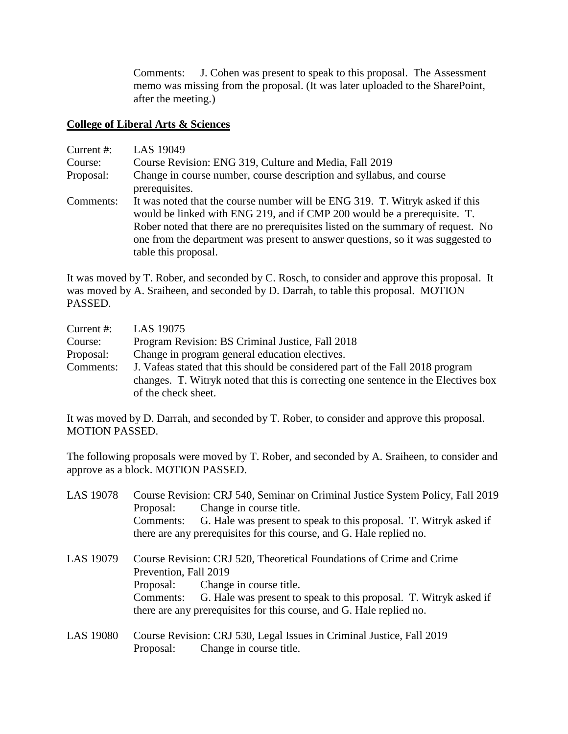Comments: J. Cohen was present to speak to this proposal. The Assessment memo was missing from the proposal. (It was later uploaded to the SharePoint, after the meeting.)

## **College of Liberal Arts & Sciences**

| Current #: | LAS 19049                                                                                                                                                                                                                                                                                                                                               |
|------------|---------------------------------------------------------------------------------------------------------------------------------------------------------------------------------------------------------------------------------------------------------------------------------------------------------------------------------------------------------|
| Course:    | Course Revision: ENG 319, Culture and Media, Fall 2019                                                                                                                                                                                                                                                                                                  |
| Proposal:  | Change in course number, course description and syllabus, and course<br>prerequisites.                                                                                                                                                                                                                                                                  |
| Comments:  | It was noted that the course number will be ENG 319. T. Witryk asked if this<br>would be linked with ENG 219, and if CMP 200 would be a prerequisite. T.<br>Rober noted that there are no prerequisites listed on the summary of request. No<br>one from the department was present to answer questions, so it was suggested to<br>table this proposal. |

It was moved by T. Rober, and seconded by C. Rosch, to consider and approve this proposal. It was moved by A. Sraiheen, and seconded by D. Darrah, to table this proposal. MOTION PASSED.

| Current $#$ : | LAS 19075                                                                          |
|---------------|------------------------------------------------------------------------------------|
| Course:       | Program Revision: BS Criminal Justice, Fall 2018                                   |
| Proposal:     | Change in program general education electives.                                     |
| Comments:     | J. Vafeas stated that this should be considered part of the Fall 2018 program      |
|               | changes. T. Witryk noted that this is correcting one sentence in the Electives box |
|               | of the check sheet.                                                                |

It was moved by D. Darrah, and seconded by T. Rober, to consider and approve this proposal. MOTION PASSED.

The following proposals were moved by T. Rober, and seconded by A. Sraiheen, to consider and approve as a block. MOTION PASSED.

| Course Revision: CRJ 540, Seminar on Criminal Justice System Policy, Fall 2019 |
|--------------------------------------------------------------------------------|
| Change in course title.<br>Proposal:                                           |
| G. Hale was present to speak to this proposal. T. Witryk asked if<br>Comments: |
| there are any prerequisites for this course, and G. Hale replied no.           |
| Course Revision: CRJ 520, Theoretical Foundations of Crime and Crime           |
| Prevention, Fall 2019                                                          |
| Proposal: Change in course title.                                              |
| Comments: G. Hale was present to speak to this proposal. T. Witryk asked if    |
| there are any prerequisites for this course, and G. Hale replied no.           |
| Course Revision: CRJ 530, Legal Issues in Criminal Justice, Fall 2019          |
|                                                                                |

Proposal: Change in course title.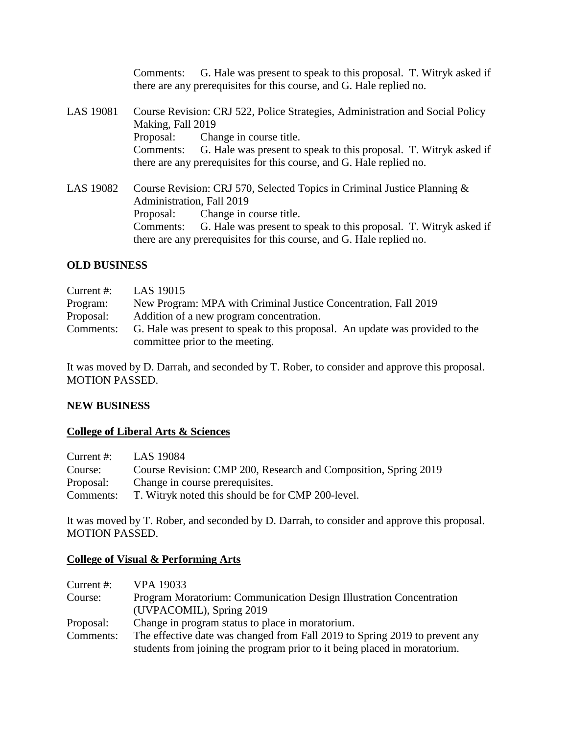|           | G. Hale was present to speak to this proposal. T. Witryk asked if<br>Comments:<br>there are any prerequisites for this course, and G. Hale replied no.                                                                                                                                            |
|-----------|---------------------------------------------------------------------------------------------------------------------------------------------------------------------------------------------------------------------------------------------------------------------------------------------------|
| LAS 19081 | Course Revision: CRJ 522, Police Strategies, Administration and Social Policy<br>Making, Fall 2019<br>Proposal: Change in course title.<br>Comments: G. Hale was present to speak to this proposal. T. Witryk asked if<br>there are any prerequisites for this course, and G. Hale replied no.    |
| LAS 19082 | Course Revision: CRJ 570, Selected Topics in Criminal Justice Planning &<br>Administration, Fall 2019<br>Proposal: Change in course title.<br>Comments: G. Hale was present to speak to this proposal. T. Witryk asked if<br>there are any prerequisites for this course, and G. Hale replied no. |

## **OLD BUSINESS**

| Current $#$ : | LAS 19015                                                                    |
|---------------|------------------------------------------------------------------------------|
| Program:      | New Program: MPA with Criminal Justice Concentration, Fall 2019              |
| Proposal:     | Addition of a new program concentration.                                     |
| Comments:     | G. Hale was present to speak to this proposal. An update was provided to the |
|               | committee prior to the meeting.                                              |

It was moved by D. Darrah, and seconded by T. Rober, to consider and approve this proposal. MOTION PASSED.

## **NEW BUSINESS**

## **College of Liberal Arts & Sciences**

| Current $#$ : | LAS 19084                                                       |
|---------------|-----------------------------------------------------------------|
| Course:       | Course Revision: CMP 200, Research and Composition, Spring 2019 |
| Proposal:     | Change in course prerequisites.                                 |
| Comments:     | T. Witryk noted this should be for CMP 200-level.               |

It was moved by T. Rober, and seconded by D. Darrah, to consider and approve this proposal. MOTION PASSED.

## **College of Visual & Performing Arts**

| <b>VPA 19033</b>                                                                                                                                         |
|----------------------------------------------------------------------------------------------------------------------------------------------------------|
| Program Moratorium: Communication Design Illustration Concentration                                                                                      |
| (UVPACOMIL), Spring 2019                                                                                                                                 |
| Change in program status to place in moratorium.                                                                                                         |
| The effective date was changed from Fall 2019 to Spring 2019 to prevent any<br>students from joining the program prior to it being placed in moratorium. |
|                                                                                                                                                          |